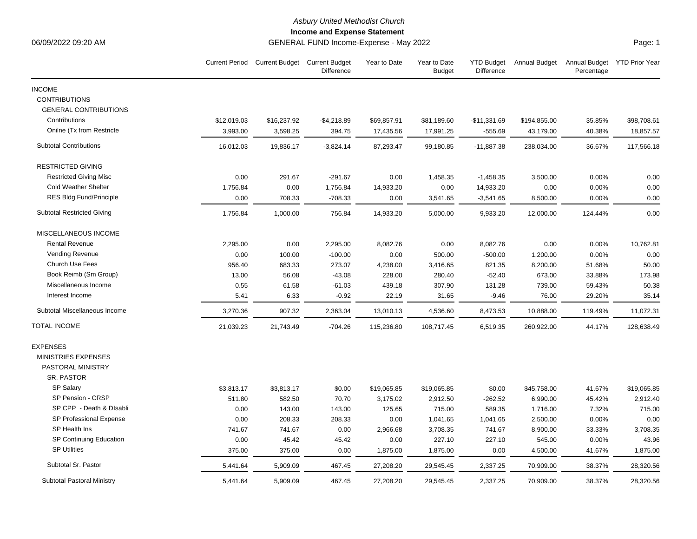## *Asbury United Methodist Church*

**Income and Expense Statement**

06/09/2022 09:20 AM GENERAL FUND Income-Expense - May 2022

|                                   |             | Current Period Current Budget Current Budget | Difference   | Year to Date | Year to Date<br><b>Budget</b> | <b>YTD Budget</b><br><b>Difference</b> | Annual Budget | Annual Budget YTD Prior Year<br>Percentage |             |
|-----------------------------------|-------------|----------------------------------------------|--------------|--------------|-------------------------------|----------------------------------------|---------------|--------------------------------------------|-------------|
| <b>INCOME</b>                     |             |                                              |              |              |                               |                                        |               |                                            |             |
| <b>CONTRIBUTIONS</b>              |             |                                              |              |              |                               |                                        |               |                                            |             |
| <b>GENERAL CONTRIBUTIONS</b>      |             |                                              |              |              |                               |                                        |               |                                            |             |
| Contributions                     | \$12,019.03 | \$16,237.92                                  | $-$4,218.89$ | \$69,857.91  | \$81,189.60                   | $-$11,331.69$                          | \$194,855.00  | 35.85%                                     | \$98,708.61 |
| Onilne (Tx from Restricte)        | 3,993.00    | 3,598.25                                     | 394.75       | 17,435.56    | 17,991.25                     | $-555.69$                              | 43,179.00     | 40.38%                                     | 18,857.57   |
| <b>Subtotal Contributions</b>     | 16,012.03   | 19,836.17                                    | $-3,824.14$  | 87,293.47    | 99,180.85                     | $-11,887.38$                           | 238,034.00    | 36.67%                                     | 117,566.18  |
| <b>RESTRICTED GIVING</b>          |             |                                              |              |              |                               |                                        |               |                                            |             |
| <b>Restricted Giving Misc</b>     | 0.00        | 291.67                                       | $-291.67$    | 0.00         | 1,458.35                      | $-1,458.35$                            | 3,500.00      | 0.00%                                      | 0.00        |
| <b>Cold Weather Shelter</b>       | 1,756.84    | 0.00                                         | 1,756.84     | 14,933.20    | 0.00                          | 14,933.20                              | 0.00          | 0.00%                                      | 0.00        |
| RES Bldg Fund/Principle           | 0.00        | 708.33                                       | $-708.33$    | 0.00         | 3,541.65                      | $-3,541.65$                            | 8,500.00      | 0.00%                                      | 0.00        |
| <b>Subtotal Restricted Giving</b> | 1,756.84    | 1,000.00                                     | 756.84       | 14,933.20    | 5,000.00                      | 9,933.20                               | 12,000.00     | 124.44%                                    | 0.00        |
| MISCELLANEOUS INCOME              |             |                                              |              |              |                               |                                        |               |                                            |             |
| <b>Rental Revenue</b>             | 2,295.00    | 0.00                                         | 2,295.00     | 8,082.76     | 0.00                          | 8,082.76                               | 0.00          | 0.00%                                      | 10,762.81   |
| Vending Revenue                   | 0.00        | 100.00                                       | $-100.00$    | 0.00         | 500.00                        | $-500.00$                              | 1,200.00      | 0.00%                                      | 0.00        |
| Church Use Fees                   | 956.40      | 683.33                                       | 273.07       | 4,238.00     | 3,416.65                      | 821.35                                 | 8,200.00      | 51.68%                                     | 50.00       |
| Book Reimb (Sm Group)             | 13.00       | 56.08                                        | $-43.08$     | 228.00       | 280.40                        | $-52.40$                               | 673.00        | 33.88%                                     | 173.98      |
| Miscellaneous Income              | 0.55        | 61.58                                        | $-61.03$     | 439.18       | 307.90                        | 131.28                                 | 739.00        | 59.43%                                     | 50.38       |
| Interest Income                   | 5.41        | 6.33                                         | $-0.92$      | 22.19        | 31.65                         | $-9.46$                                | 76.00         | 29.20%                                     | 35.14       |
| Subtotal Miscellaneous Income     | 3,270.36    | 907.32                                       | 2,363.04     | 13,010.13    | 4,536.60                      | 8,473.53                               | 10,888.00     | 119.49%                                    | 11,072.31   |
| <b>TOTAL INCOME</b>               | 21,039.23   | 21,743.49                                    | $-704.26$    | 115,236.80   | 108,717.45                    | 6,519.35                               | 260,922.00    | 44.17%                                     | 128,638.49  |
| <b>EXPENSES</b>                   |             |                                              |              |              |                               |                                        |               |                                            |             |
| MINISTRIES EXPENSES               |             |                                              |              |              |                               |                                        |               |                                            |             |
| PASTORAL MINISTRY                 |             |                                              |              |              |                               |                                        |               |                                            |             |
| SR. PASTOR                        |             |                                              |              |              |                               |                                        |               |                                            |             |
| SP Salary                         | \$3,813.17  | \$3,813.17                                   | \$0.00       | \$19,065.85  | \$19,065.85                   | \$0.00                                 | \$45,758.00   | 41.67%                                     | \$19,065.85 |
| SP Pension - CRSP                 | 511.80      | 582.50                                       | 70.70        | 3,175.02     | 2,912.50                      | $-262.52$                              | 6,990.00      | 45.42%                                     | 2,912.40    |
| SP CPP - Death & Disabli          | 0.00        | 143.00                                       | 143.00       | 125.65       | 715.00                        | 589.35                                 | 1,716.00      | 7.32%                                      | 715.00      |
| SP Professional Expense           | 0.00        | 208.33                                       | 208.33       | 0.00         | 1,041.65                      | 1,041.65                               | 2,500.00      | 0.00%                                      | 0.00        |
| SP Health Ins                     | 741.67      | 741.67                                       | 0.00         | 2,966.68     | 3,708.35                      | 741.67                                 | 8,900.00      | 33.33%                                     | 3,708.35    |
| SP Continuing Education           | 0.00        | 45.42                                        | 45.42        | 0.00         | 227.10                        | 227.10                                 | 545.00        | 0.00%                                      | 43.96       |
| <b>SP Utilities</b>               | 375.00      | 375.00                                       | 0.00         | 1,875.00     | 1,875.00                      | 0.00                                   | 4,500.00      | 41.67%                                     | 1,875.00    |
| Subtotal Sr. Pastor               | 5,441.64    | 5,909.09                                     | 467.45       | 27,208.20    | 29,545.45                     | 2,337.25                               | 70,909.00     | 38.37%                                     | 28,320.56   |
| Subtotal Pastoral Ministry        | 5,441.64    | 5,909.09                                     | 467.45       | 27,208.20    | 29,545.45                     | 2,337.25                               | 70,909.00     | 38.37%                                     | 28,320.56   |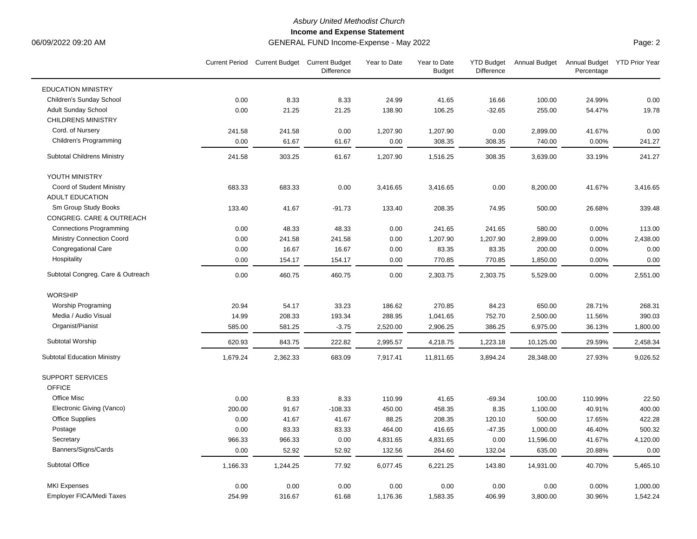## *Asbury United Methodist Church*

**Income and Expense Statement**

## 06/09/2022 09:20 AM GENERAL FUND Income-Expense - May 2022

Page: 2

|                                    |          | Current Period Current Budget Current Budget | <b>Difference</b> | Year to Date | Year to Date<br><b>Budget</b> | <b>YTD Budget</b><br><b>Difference</b> |           | Annual Budget Annual Budget YTD Prior Year<br>Percentage |          |
|------------------------------------|----------|----------------------------------------------|-------------------|--------------|-------------------------------|----------------------------------------|-----------|----------------------------------------------------------|----------|
| <b>EDUCATION MINISTRY</b>          |          |                                              |                   |              |                               |                                        |           |                                                          |          |
| Children's Sunday School           | 0.00     | 8.33                                         | 8.33              | 24.99        | 41.65                         | 16.66                                  | 100.00    | 24.99%                                                   | 0.00     |
| <b>Adult Sunday School</b>         | 0.00     | 21.25                                        | 21.25             | 138.90       | 106.25                        | $-32.65$                               | 255.00    | 54.47%                                                   | 19.78    |
| <b>CHILDRENS MINISTRY</b>          |          |                                              |                   |              |                               |                                        |           |                                                          |          |
| Cord. of Nursery                   | 241.58   | 241.58                                       | 0.00              | 1,207.90     | 1,207.90                      | 0.00                                   | 2,899.00  | 41.67%                                                   | 0.00     |
| Children's Programming             | 0.00     | 61.67                                        | 61.67             | 0.00         | 308.35                        | 308.35                                 | 740.00    | 0.00%                                                    | 241.27   |
| <b>Subtotal Childrens Ministry</b> | 241.58   | 303.25                                       | 61.67             | 1,207.90     | 1,516.25                      | 308.35                                 | 3,639.00  | 33.19%                                                   | 241.27   |
| YOUTH MINISTRY                     |          |                                              |                   |              |                               |                                        |           |                                                          |          |
| Coord of Student Ministry          | 683.33   | 683.33                                       | 0.00              | 3,416.65     | 3,416.65                      | 0.00                                   | 8,200.00  | 41.67%                                                   | 3,416.65 |
| <b>ADULT EDUCATION</b>             |          |                                              |                   |              |                               |                                        |           |                                                          |          |
| Sm Group Study Books               | 133.40   | 41.67                                        | $-91.73$          | 133.40       | 208.35                        | 74.95                                  | 500.00    | 26.68%                                                   | 339.48   |
| CONGREG. CARE & OUTREACH           |          |                                              |                   |              |                               |                                        |           |                                                          |          |
| <b>Connections Programming</b>     | 0.00     | 48.33                                        | 48.33             | 0.00         | 241.65                        | 241.65                                 | 580.00    | 0.00%                                                    | 113.00   |
| Ministry Connection Coord          | 0.00     | 241.58                                       | 241.58            | 0.00         | 1,207.90                      | 1,207.90                               | 2,899.00  | 0.00%                                                    | 2,438.00 |
| Congregational Care                | 0.00     | 16.67                                        | 16.67             | 0.00         | 83.35                         | 83.35                                  | 200.00    | 0.00%                                                    | 0.00     |
| Hospitality                        | 0.00     | 154.17                                       | 154.17            | 0.00         | 770.85                        | 770.85                                 | 1,850.00  | 0.00%                                                    | 0.00     |
| Subtotal Congreg. Care & Outreach  | 0.00     | 460.75                                       | 460.75            | 0.00         | 2,303.75                      | 2,303.75                               | 5,529.00  | 0.00%                                                    | 2,551.00 |
| <b>WORSHIP</b>                     |          |                                              |                   |              |                               |                                        |           |                                                          |          |
| Worship Programing                 | 20.94    | 54.17                                        | 33.23             | 186.62       | 270.85                        | 84.23                                  | 650.00    | 28.71%                                                   | 268.31   |
| Media / Audio Visual               | 14.99    | 208.33                                       | 193.34            | 288.95       | 1,041.65                      | 752.70                                 | 2,500.00  | 11.56%                                                   | 390.03   |
| Organist/Pianist                   | 585.00   | 581.25                                       | $-3.75$           | 2,520.00     | 2,906.25                      | 386.25                                 | 6,975.00  | 36.13%                                                   | 1,800.00 |
| Subtotal Worship                   | 620.93   | 843.75                                       | 222.82            | 2,995.57     | 4,218.75                      | 1,223.18                               | 10,125.00 | 29.59%                                                   | 2,458.34 |
| <b>Subtotal Education Ministry</b> | 1,679.24 | 2,362.33                                     | 683.09            | 7,917.41     | 11,811.65                     | 3,894.24                               | 28,348.00 | 27.93%                                                   | 9,026.52 |
| <b>SUPPORT SERVICES</b>            |          |                                              |                   |              |                               |                                        |           |                                                          |          |
| <b>OFFICE</b>                      |          |                                              |                   |              |                               |                                        |           |                                                          |          |
| Office Misc                        | 0.00     | 8.33                                         | 8.33              | 110.99       | 41.65                         | $-69.34$                               | 100.00    | 110.99%                                                  | 22.50    |
| Electronic Giving (Vanco)          | 200.00   | 91.67                                        | $-108.33$         | 450.00       | 458.35                        | 8.35                                   | 1,100.00  | 40.91%                                                   | 400.00   |
| <b>Office Supplies</b>             | 0.00     | 41.67                                        | 41.67             | 88.25        | 208.35                        | 120.10                                 | 500.00    | 17.65%                                                   | 422.28   |
| Postage                            | 0.00     | 83.33                                        | 83.33             | 464.00       | 416.65                        | $-47.35$                               | 1,000.00  | 46.40%                                                   | 500.32   |
| Secretary                          | 966.33   | 966.33                                       | 0.00              | 4,831.65     | 4,831.65                      | 0.00                                   | 11,596.00 | 41.67%                                                   | 4,120.00 |
| Banners/Signs/Cards                | 0.00     | 52.92                                        | 52.92             | 132.56       | 264.60                        | 132.04                                 | 635.00    | 20.88%                                                   | 0.00     |
| Subtotal Office                    | 1,166.33 | 1,244.25                                     | 77.92             | 6,077.45     | 6,221.25                      | 143.80                                 | 14,931.00 | 40.70%                                                   | 5,465.10 |
| <b>MKI Expenses</b>                | 0.00     | 0.00                                         | 0.00              | 0.00         | 0.00                          | 0.00                                   | 0.00      | 0.00%                                                    | 1,000.00 |
| Employer FICA/Medi Taxes           | 254.99   | 316.67                                       | 61.68             | 1,176.36     | 1,583.35                      | 406.99                                 | 3,800.00  | 30.96%                                                   | 1,542.24 |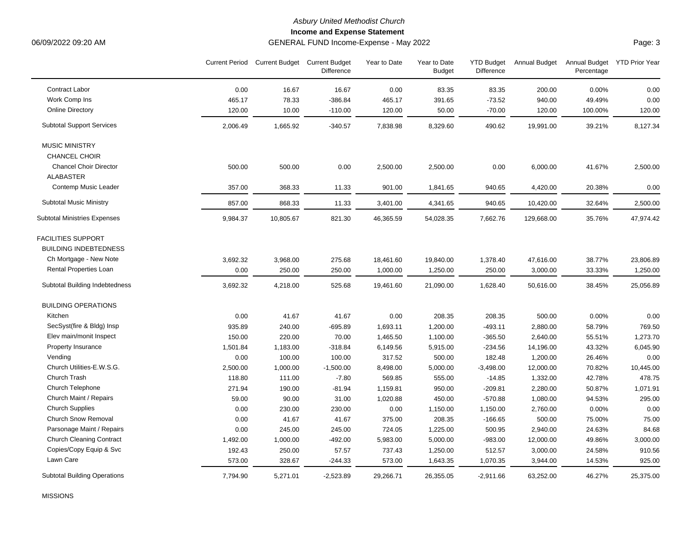# *Asbury United Methodist Church*

**Income and Expense Statement**

06/09/2022 09:20 AM GENERAL FUND Income-Expense - May 2022

Page: 3

|                                     |          | Current Period Current Budget Current Budget | Difference  | Year to Date | Year to Date<br><b>Budget</b> | <b>YTD Budget</b><br>Difference | Annual Budget | Annual Budget YTD Prior Year<br>Percentage |           |
|-------------------------------------|----------|----------------------------------------------|-------------|--------------|-------------------------------|---------------------------------|---------------|--------------------------------------------|-----------|
| Contract Labor                      | 0.00     | 16.67                                        | 16.67       | 0.00         | 83.35                         | 83.35                           | 200.00        | 0.00%                                      | 0.00      |
| Work Comp Ins                       | 465.17   | 78.33                                        | $-386.84$   | 465.17       | 391.65                        | $-73.52$                        | 940.00        | 49.49%                                     | 0.00      |
| <b>Online Directory</b>             | 120.00   | 10.00                                        | $-110.00$   | 120.00       | 50.00                         | $-70.00$                        | 120.00        | 100.00%                                    | 120.00    |
| <b>Subtotal Support Services</b>    | 2,006.49 | 1,665.92                                     | $-340.57$   | 7,838.98     | 8,329.60                      | 490.62                          | 19,991.00     | 39.21%                                     | 8,127.34  |
| <b>MUSIC MINISTRY</b>               |          |                                              |             |              |                               |                                 |               |                                            |           |
| <b>CHANCEL CHOIR</b>                |          |                                              |             |              |                               |                                 |               |                                            |           |
| <b>Chancel Choir Director</b>       | 500.00   | 500.00                                       | 0.00        | 2,500.00     | 2,500.00                      | 0.00                            | 6,000.00      | 41.67%                                     | 2,500.00  |
| <b>ALABASTER</b>                    |          |                                              |             |              |                               |                                 |               |                                            |           |
| Contemp Music Leader                | 357.00   | 368.33                                       | 11.33       | 901.00       | 1,841.65                      | 940.65                          | 4,420.00      | 20.38%                                     | 0.00      |
| <b>Subtotal Music Ministry</b>      | 857.00   | 868.33                                       | 11.33       | 3,401.00     | 4,341.65                      | 940.65                          | 10,420.00     | 32.64%                                     | 2,500.00  |
| <b>Subtotal Ministries Expenses</b> | 9,984.37 | 10,805.67                                    | 821.30      | 46,365.59    | 54,028.35                     | 7,662.76                        | 129,668.00    | 35.76%                                     | 47,974.42 |
| <b>FACILITIES SUPPORT</b>           |          |                                              |             |              |                               |                                 |               |                                            |           |
| <b>BUILDING INDEBTEDNESS</b>        |          |                                              |             |              |                               |                                 |               |                                            |           |
| Ch Mortgage - New Note              | 3,692.32 | 3,968.00                                     | 275.68      | 18,461.60    | 19,840.00                     | 1,378.40                        | 47,616.00     | 38.77%                                     | 23,806.89 |
| Rental Properties Loan              | 0.00     | 250.00                                       | 250.00      | 1,000.00     | 1,250.00                      | 250.00                          | 3,000.00      | 33.33%                                     | 1,250.00  |
| Subtotal Building Indebtedness      | 3,692.32 | 4,218.00                                     | 525.68      | 19,461.60    | 21,090.00                     | 1,628.40                        | 50,616.00     | 38.45%                                     | 25,056.89 |
| <b>BUILDING OPERATIONS</b>          |          |                                              |             |              |                               |                                 |               |                                            |           |
| Kitchen                             | 0.00     | 41.67                                        | 41.67       | 0.00         | 208.35                        | 208.35                          | 500.00        | 0.00%                                      | 0.00      |
| SecSyst(fire & Bldg) Insp           | 935.89   | 240.00                                       | $-695.89$   | 1,693.11     | 1,200.00                      | $-493.11$                       | 2,880.00      | 58.79%                                     | 769.50    |
| Elev main/monit Inspect             | 150.00   | 220.00                                       | 70.00       | 1,465.50     | 1,100.00                      | $-365.50$                       | 2,640.00      | 55.51%                                     | 1,273.70  |
| Property Insurance                  | 1,501.84 | 1,183.00                                     | $-318.84$   | 6,149.56     | 5,915.00                      | $-234.56$                       | 14,196.00     | 43.32%                                     | 6,045.90  |
| Vending                             | 0.00     | 100.00                                       | 100.00      | 317.52       | 500.00                        | 182.48                          | 1,200.00      | 26.46%                                     | 0.00      |
| Church Utilities-E.W.S.G.           | 2,500.00 | 1,000.00                                     | $-1,500.00$ | 8,498.00     | 5,000.00                      | $-3,498.00$                     | 12,000.00     | 70.82%                                     | 10,445.00 |
| Church Trash                        | 118.80   | 111.00                                       | $-7.80$     | 569.85       | 555.00                        | $-14.85$                        | 1,332.00      | 42.78%                                     | 478.75    |
| Church Telephone                    | 271.94   | 190.00                                       | $-81.94$    | 1,159.81     | 950.00                        | $-209.81$                       | 2,280.00      | 50.87%                                     | 1,071.91  |
| Church Maint / Repairs              | 59.00    | 90.00                                        | 31.00       | 1,020.88     | 450.00                        | $-570.88$                       | 1,080.00      | 94.53%                                     | 295.00    |
| <b>Church Supplies</b>              | 0.00     | 230.00                                       | 230.00      | 0.00         | 1,150.00                      | 1,150.00                        | 2,760.00      | 0.00%                                      | 0.00      |
| <b>Church Snow Removal</b>          | 0.00     | 41.67                                        | 41.67       | 375.00       | 208.35                        | $-166.65$                       | 500.00        | 75.00%                                     | 75.00     |
| Parsonage Maint / Repairs           | 0.00     | 245.00                                       | 245.00      | 724.05       | 1,225.00                      | 500.95                          | 2,940.00      | 24.63%                                     | 84.68     |
| <b>Church Cleaning Contract</b>     | 1,492.00 | 1,000.00                                     | $-492.00$   | 5,983.00     | 5,000.00                      | $-983.00$                       | 12,000.00     | 49.86%                                     | 3,000.00  |
| Copies/Copy Equip & Svc             | 192.43   | 250.00                                       | 57.57       | 737.43       | 1,250.00                      | 512.57                          | 3,000.00      | 24.58%                                     | 910.56    |
| Lawn Care                           | 573.00   | 328.67                                       | $-244.33$   | 573.00       | 1,643.35                      | 1,070.35                        | 3,944.00      | 14.53%                                     | 925.00    |
| <b>Subtotal Building Operations</b> | 7,794.90 | 5,271.01                                     | $-2,523.89$ | 29,266.71    | 26,355.05                     | $-2,911.66$                     | 63,252.00     | 46.27%                                     | 25,375.00 |

MISSIONS